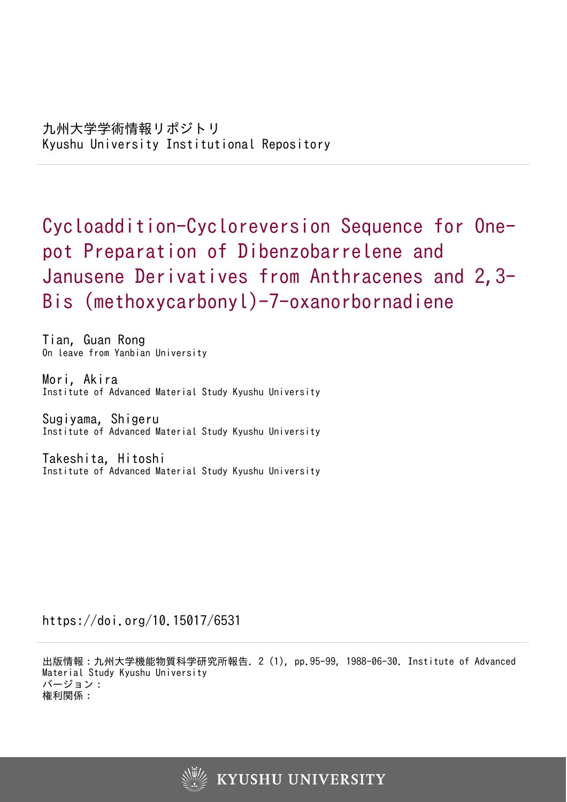Cycloaddition-Cycloreversion Sequence for Onepot Preparation of Dibenzobarrelene and Janusene Derivatives from Anthracenes and 2,3-Bis (methoxycarbonyl)-7-oxanorbornadiene

Tian, Guan Rong On leave from Yanbian University

Mori, Akira Institute of Advanced Material Study Kyushu University

Sugiyama, Shigeru Institute of Advanced Material Study Kyushu University

Takeshita, Hitoshi Institute of Advanced Material Study Kyushu University

https://doi.org/10.15017/6531

出版情報:九州大学機能物質科学研究所報告. 2 (1), pp.95-99, 1988-06-30. Institute of Advanced Material Study Kyushu University バージョン: 権利関係:

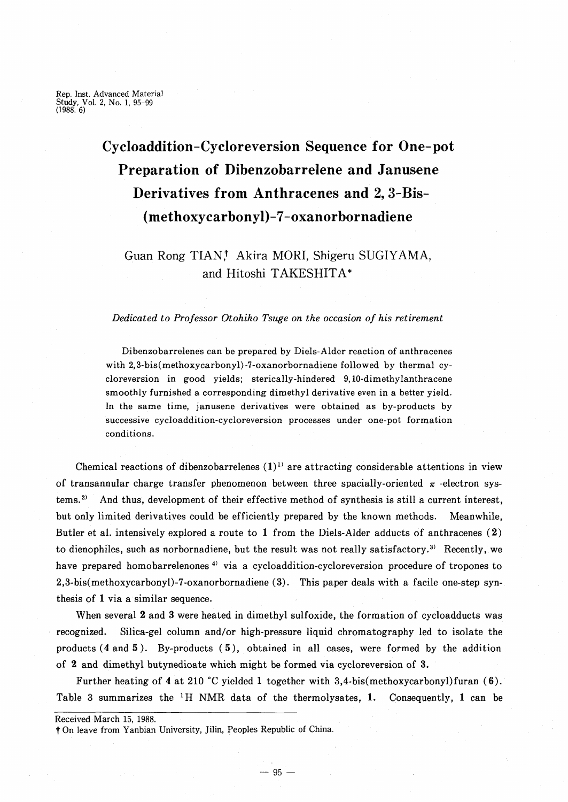# **Cycloaddition-Cycloreversion Sequence for One-pot Preparation of Dibenzobarrelene and Janusene Derivatives from Anthracenes and 2,3-Bis- (methoxycarbonyl)-7-oxanorbornadiene**

# Guan Rong TIAN! Akira MORI, Shigeru SUGIYAMA, and Hitoshi TAKESHITA\*

### *Dedicated to Professor Otohiko Tsuge on the occasion of his retirement*

Dibenzobarrelenes can be prepared by Diels-Alder reaction of anthracenes with 2,3-bis(methoxycarbonyl)-7-oxanorbornadiene followed by thermal cycloreversion in good yields; sterically-hindered 9, 10-dimethylanthracene smoothly furnished a corresponding dimethyl derivative even in a better yield. In the same time, janusene derivatives were obtained as by-products by successive cycloaddition-cycloreversion processes under one-pot formation conditions.

Chemical reactions of dibenzobarrelenes  $(1)^{1}$  are attracting considerable attentions in view of transannular charge transfer phenomenon between three spacially-oriented  $\pi$ -electron systems. 2) And thus, development of their effective method of synthesis is still a current interest, but only limited derivatiyes could be efficiently prepared by the known methods. Meanwhile, Butler et al. intensively explored a route to 1 from the Diels-Alder adducts of anthracenes (2) to dienophiles, such as norbornadiene, but the result was not really satisfactory.3) Recently, we have prepared homobarrelenones<sup>4)</sup> via a cycloaddition-cycloreversion procedure of tropones to 2,3-bis(methoxycarbonyl)-7-oxanorbornadiene (3). This paper deals with a facile one-step synthesis of 1 via a similar sequence.

When several  $2$  and  $3$  were heated in dimethyl sulfoxide, the formation of cycloadducts was recognized. Silica-gel column and/or high-pressure liquid chromatography led to isolate the products (4 and 5). By-products (5), obtained in all cases, were formed by the addition of 2 and dimethyl butynedioate which might be formed via cycloreversion of 3.

Further heating of 4 at 210°C yielded 1 together with 3,4-bis(methoxycarbonyl)furan (6). Table 3 summarizes the <sup>1</sup>H NMR data of the thermolysates, 1. Consequently, 1 can be

Received March 15, 1988. t On leave from Yanbian University, Jilin, Peoples Republic of China.

 $-95-$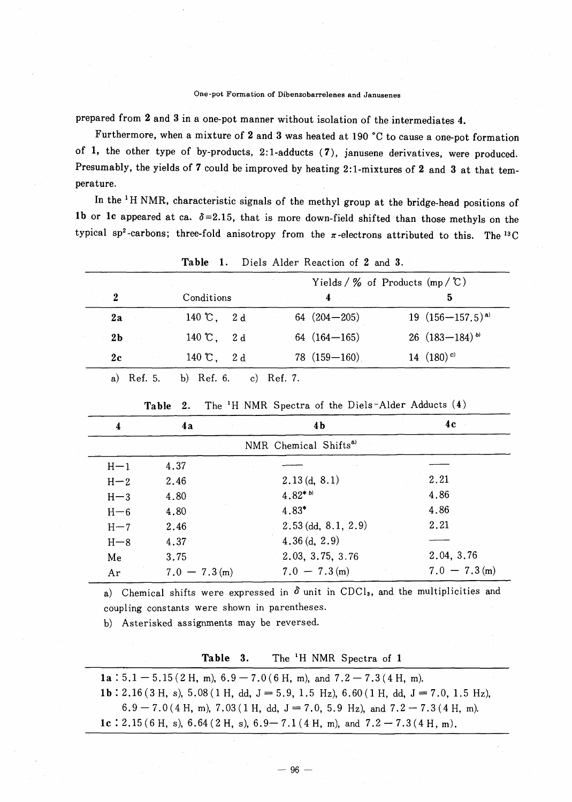## One-pot Formation of Dibenzobarrelenes and Janusenes

prepared from 2 and 3 in a one-pot manner without isolation of the intermediates 4.

Furthermore, when a mixture of 2 and 3 was heated at 190 °C to cause a one-pot formation of 1, the other type of by-products, 2:1-adducts (7), janusene derivatives, were produced. Presumably, the yields of 7 could be improved by heating 2:1-mixtures of 2 and 3 at that temperature.

In the <sup>1</sup>H NMR, characteristic signals of the methyl group at the bridge-head positions of 1b or 1c appeared at ca.  $\delta = 2.15$ , that is more down-field shifted than those methyls on the typical sp<sup>2</sup>-carbons; three-fold anisotropy from the  $\pi$ -electrons attributed to this. The <sup>13</sup>C

|                |                        | Yields / $\%$ of Products (mp / $\mathbb{C}$ ) |                              |  |
|----------------|------------------------|------------------------------------------------|------------------------------|--|
| $\mathbf{2}$   | Conditions             |                                                | 5                            |  |
| 2a             | $140 \text{ °C}$ , 2d  | 64 $(204 - 205)$                               | 19 $(156-157.5)^{a}$         |  |
| 2 <sub>b</sub> | 140 °C, 2 d            | $64(164-165)$                                  | 26 $(183-184)$ <sup>b)</sup> |  |
| 2c             | $140 \, \degree$ , 2 d | $78(159 - 160)$                                | 14 $(180)$ <sup>c)</sup>     |  |

**Table**  $\blacksquare$ Diels Alder Reaction of 2 and 3

| 4                                 | 4a              | 4 <sub>b</sub>           | 4 c             |  |  |  |  |
|-----------------------------------|-----------------|--------------------------|-----------------|--|--|--|--|
| NMR Chemical Shifts <sup>a)</sup> |                 |                          |                 |  |  |  |  |
| $H-1$                             | 4.37            |                          |                 |  |  |  |  |
| $H-2$                             | 2.46            | 2.13(d, 8.1)             | 2.21            |  |  |  |  |
| $H-3$                             | 4.80            | $4.82^{*b}$              | 4.86            |  |  |  |  |
| $H - 6$                           | 4.80            | 4.83*                    | 4.86            |  |  |  |  |
| $H-7$                             | 2.46            | $2.53$ (dd, $8.1, 2.9$ ) | 2.21            |  |  |  |  |
| $H - 8$                           | 4.37            | 4.36(d, 2.9)             |                 |  |  |  |  |
| Me                                | 3.75            | 2.03, 3.75, 3.76         | 2.04, 3.76      |  |  |  |  |
| Ar                                | $7.0 - 7.3$ (m) | $7.0 - 7.3$ (m)          | $7.0 - 7.3$ (m) |  |  |  |  |

The <sup>1</sup>H NMR Spectra of the Diels-Alder Adducts (4) Table 2.

a) Chemical shifts were expressed in  $\delta$  unit in CDCl<sub>3</sub>, and the multiplicities and coupling constants were shown in parentheses.

b) Asterisked assignments may be reversed.

| Table 3. |  | The <sup>1</sup> H NMR Spectra of 1 |  |
|----------|--|-------------------------------------|--|
|          |  |                                     |  |

1a : 5.1 - 5.15 (2 H, m),  $6.9 - 7.0$  (6 H, m), and  $7.2 - 7.3$  (4 H, m). 1b: 2.16 (3 H, s), 5.08 (1 H, dd, J = 5.9, 1.5 Hz), 6.60 (1 H, dd, J = 7.0, 1.5 Hz),  $6.9 - 7.0(4 \text{ H}, \text{m})$ ,  $7.03(1 \text{ H}, \text{ dd}, \text{J} = 7.0, 5.9 \text{ Hz})$ , and  $7.2 - 7.3(4 \text{ H}, \text{m})$ . 1c: 2.15 (6 H, s), 6.64 (2 H, s), 6.9 - 7.1 (4 H, m), and 7.2 - 7.3 (4 H, m).

 $-96-$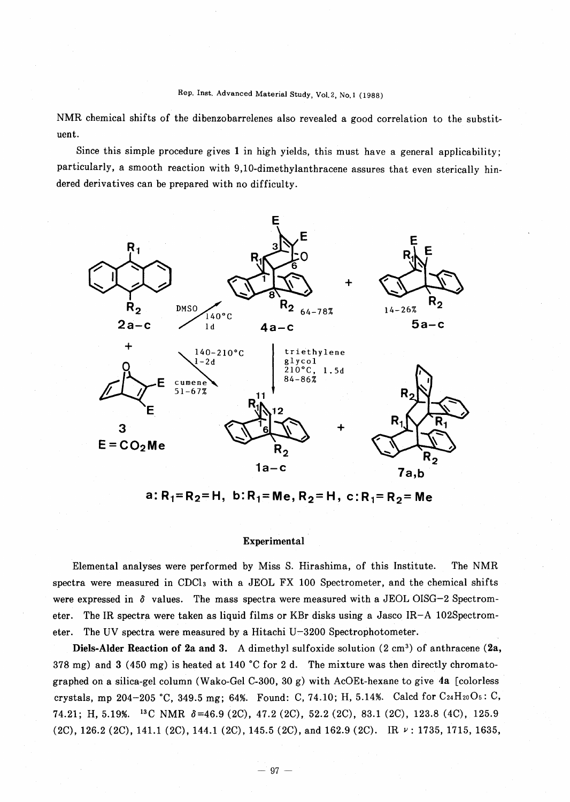NMR chemical shifts of the dibenzobarrelenes also revealed a good correlation to the substituent.

Since this simple procedure gives 1 in high yields, this must have a general applicability; particularly, a smooth reaction with 9,10-dimethylanthracene assures that even sterically hindered derivatives can be prepared with no difficulty.



a:  $R_1 = R_2 = H$ , b:  $R_1 = Me$ ,  $R_2 = H$ , c:  $R_1 = R_2 = Me$ 

# Experimental

Elemental analyses were performed by Miss S. Hirashima, of this Institute. The NMR spectra were measured in CDCl<sub>3</sub> with a JEOL FX 100 Spectrometer, and the chemical shifts were expressed in  $\delta$  values. The mass spectra were measured with a JEOL OISG-2 Spectrometer. The IR spectra were taken as liquid films or KBr disks using a Jasco IR-A 102Spectrometer. The UV spectra were measured by a Hitachi U-3200 Spectrophotometer.

Diels-Alder Reaction of 2a and 3. A dimethyl sulfoxide solution (2 cm<sup>3</sup>) of anthracene (2a, 378 mg) and 3 (450 mg) is heated at 140 °C for 2 d. The mixture was then directly chromatographed on a silica-gel column (Wako-Gel C-300, 30 g) with AcOEt-hexane to give 4a [colorless crystals, mp 204-205 °C, 349.5 mg; 64%. Found: C, 74.10; H, 5.14%. Calcd for C24H2005: C, 74.21; H,5.19%. 13C NMR *0=46.9* (2C), 47.2 (2C), 52.2 (2C), 83.1 (2C), 123.8 (4C), 125.9 (2C), 126.2 (2C), 141.1 (2C), 144.1 (2C), 145.5 (2C), and 162.9 (2C). IR  $\nu$ : 1735, 1715, 1635,

 $-97-$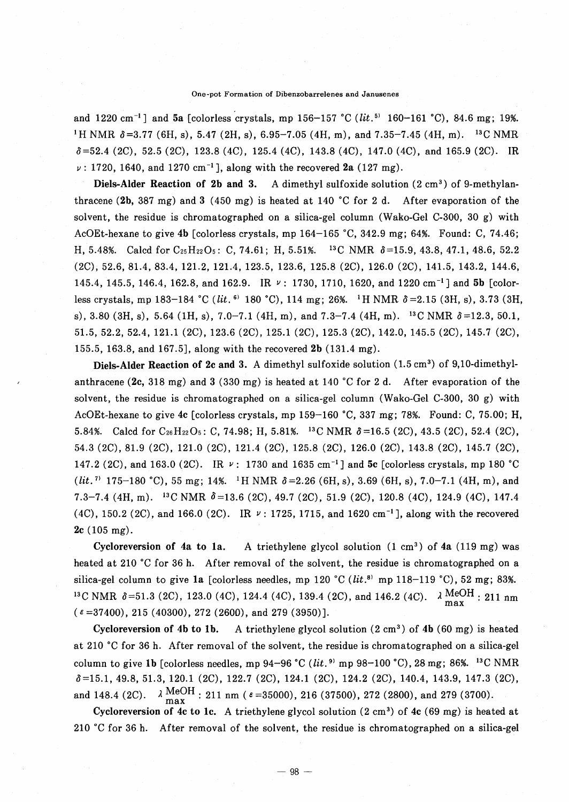#### One-pot Formation of Dibenzobarrelenes and Janusenes

and 1220 cm<sup>-1</sup>] and 5a [colorless crystals, mp 156-157 °C *(lit.*<sup>5)</sup> 160-161 °C), 84.6 mg; 19%. <sup>1</sup>H NMR  $\delta$ =3.77 (6H, s), 5.47 (2H, s), 6.95–7.05 (4H, m), and 7.35–7.45 (4H, m). <sup>13</sup>C NMR  $\delta$ =52.4 (2C), 52.5 (2C), 123.8 (4C), 125.4 (4C), 143.8 (4C), 147.0 (4C), and 165.9 (2C). IR  $\nu$ : 1720, 1640, and 1270 cm<sup>-1</sup>], along with the recovered 2a (127 mg).

Diels-Alder Reaction of 2b and 3. A dimethyl sulfoxide solution  $(2 \text{ cm}^3)$  of 9-methylanthracene (2b, 387 mg) and 3 (450 mg) is heated at 140°C for 2 d. After evaporation of the solvent, the residue is chromatographed on a silica-gel column (Wako-Gel C-300, 30 g) with AcOEt-hexane to give 4b [colorless crystals, mp  $164-165$  °C,  $342.9$  mg; 64%. Found: C, 74.46; H, 5.48%. Calcd for C2sH220S: C, 74.61; H,5.51%. 13C NMR *0=15.9,43.8,47.1,48.6, 52.2* (2C), 52.6, 81.4, 83.4, 121.2, 121.4, 123.5, 123.6, 125.8 (2C), 126.0 (2C), 141.5, 143.2, 144.6, 145.4, 145.5, 146.4, 162.8, and 162.9. IR  $\nu$ : 1730, 1710, 1620, and 1220 cm<sup>-1</sup>] and 5b [colorless crystals, mp 183-184 °C *(lit.* <sup>6)</sup> 180 °C), 114 mg; 26%. <sup>1</sup>H NMR  $\delta$  = 2.15 (3H, s), 3.73 (3H, s), 3.80 (3H, s), 5.64 (1H, s), 7.0-7.1 (4H, m), and 7.3-7.4 (4H, m). 13C NMR *0=12.3, 50.1,* 51.5,52.2,52.4,121.1 (2C), 123.6 (2C), 125.1 (2C), 125.3 (2C), 142.0, 145.5 (2C), 145.7 (2C), 155.5,163.8, and 167.5], along with the recovered 2b (131.4 mg).

Diels-Alder Reaction of 2c and 3. A dimethyl sulfoxide solution (1.5 cm<sup>3</sup>) of 9,10-dimethylanthracene (2c, 318 mg) and 3 (330 mg) is heated at 140°C for 2 d. After evaporation of the solvent, the residue is chromatographed on a silica-gel column (Wako-Gel C-300, 30 g) with AcOEt-hexane to give 4c [colorless crystals, mp  $159-160$  °C, 337 mg; 78%. Found: C, 75.00; H, 5.84%. Calcd for  $C_{26}H_{22}O_5$ : C, 74.98; H, 5.81%. <sup>13</sup>C NMR  $\delta$ =16.5 (2C), 43.5 (2C), 52.4 (2C), 54.3 (2C), 81.9 (2C), 121.0 (2C), 121.4 (2C), 125.8 (2C), 126.0 (2C), 143.8 (2C), 145.7 (2C), 147.2 (2C), and 163.0 (2C). IR  $\nu$ : 1730 and 1635 cm<sup>-1</sup>] and 5c [colorless crystals, mp 180 °C *(lit.*<sup>7</sup> 175-180 °C), 55 mg; 14%. <sup>1</sup>H NMR  $\delta$  = 2.26 (6H, s), 3.69 (6H, s), 7.0-7.1 (4H, m), and 7.3-7.4 (4H, m).<sup>13</sup>C NMR  $\delta$  = 13.6 (2C), 49.7 (2C), 51.9 (2C), 120.8 (4C), 124.9 (4C), 147.4  $(4C)$ , 150.2 (2C), and 166.0 (2C). IR  $\nu$ : 1725, 1715, and 1620 cm<sup>-1</sup>], along with the recovered 2c (105 mg).

Cycloreversion of 4a to 1a. A triethylene glycol solution  $(1 \text{ cm}^3)$  of 4a  $(119 \text{ mg})$  was heated at 210 °C for 36 h. After removal of the solvent, the residue is chromatographed on a silica-gel column to give 1a [colorless needles, mp 120 °C  $(lit.^8)$  mp 118-119 °C), 52 mg; 83%.  $^{13}$ C NMR  $\delta$ =51.3 (2C), 123.0 (4C), 124.4 (4C), 139.4 (2C), and 146.2 (4C).  $\lambda \frac{\text{MeOH}}{\text{max}}$ : 211 nm  $(\epsilon = 37400)$ , 215 (40300), 272 (2600), and 279 (3950)].

Cycloreversion of 4b to 1b. A triethylene glycol solution  $(2 \text{ cm}^3)$  of 4b  $(60 \text{ mg})$  is heated at 210°C for 36 h. After removal of the solvent, the residue is chromatographed on a silica-gel column to give 1b [colorless needles, mp  $94-96$  °C *(lit.*<sup>9)</sup> mp  $98-100$  °C), 28 mg; 86%. <sup>13</sup>C NMR *0=15.1,49.8,51.3,120.1* (2C), 122.7 (2C), 124.1 (2C), 124.2 (2C), 140.4, 143.9, 147.3 (2C), and 148.4 (2C).  $\lambda \text{ MeOH}$ : 211 nm ( $\varepsilon$ =35000), 216 (37500), 272 (2800), and 279 (3700).

Cycloreversion of 4c to 1c. A triethylene glycol solution  $(2 \text{ cm}^3)$  of 4c  $(69 \text{ mg})$  is heated at 210°C for 36 h. After removal of the solvent, the residue is chromatographed on a silica-gel

 $-98-$